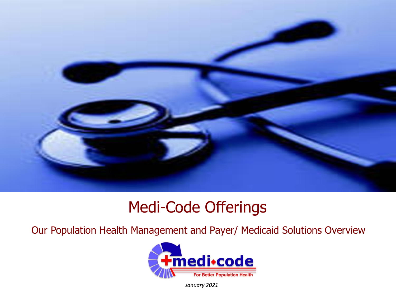

## Medi-Code Offerings

Our Population Health Management and Payer/ Medicaid Solutions Overview



*January 2021*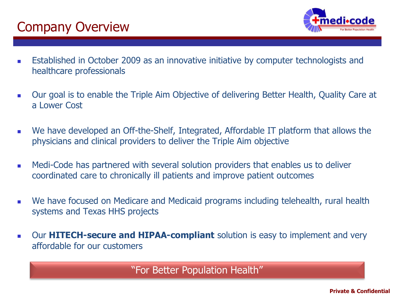### Company Overview



- Established in October 2009 as an innovative initiative by computer technologists and healthcare professionals
- Our goal is to enable the Triple Aim Objective of delivering Better Health, Quality Care at a Lower Cost
- We have developed an Off-the-Shelf, Integrated, Affordable IT platform that allows the physicians and clinical providers to deliver the Triple Aim objective
- Medi-Code has partnered with several solution providers that enables us to deliver coordinated care to chronically ill patients and improve patient outcomes
- We have focused on Medicare and Medicaid programs including telehealth, rural health systems and Texas HHS projects
- Our HITECH-secure and HIPAA-compliant solution is easy to implement and very affordable for our customers

"For Better Population Health"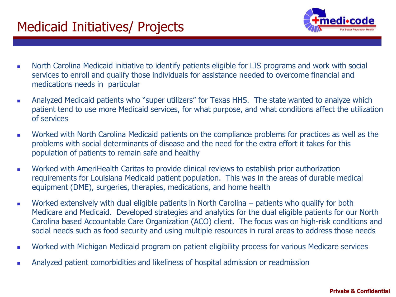

- North Carolina Medicaid initiative to identify patients eligible for LIS programs and work with social services to enroll and qualify those individuals for assistance needed to overcome financial and medications needs in particular
- Analyzed Medicaid patients who "super utilizers" for Texas HHS. The state wanted to analyze which patient tend to use more Medicaid services, for what purpose, and what conditions affect the utilization of services
- Worked with North Carolina Medicaid patients on the compliance problems for practices as well as the problems with social determinants of disease and the need for the extra effort it takes for this population of patients to remain safe and healthy
- Worked with AmeriHealth Caritas to provide clinical reviews to establish prior authorization requirements for Louisiana Medicaid patient population. This was in the areas of durable medical equipment (DME), surgeries, therapies, medications, and home health
- Worked extensively with dual eligible patients in North Carolina patients who qualify for both Medicare and Medicaid. Developed strategies and analytics for the dual eligible patients for our North Carolina based Accountable Care Organization (ACO) client. The focus was on high-risk conditions and social needs such as food security and using multiple resources in rural areas to address those needs
- Worked with Michigan Medicaid program on patient eligibility process for various Medicare services
- Analyzed patient comorbidities and likeliness of hospital admission or readmission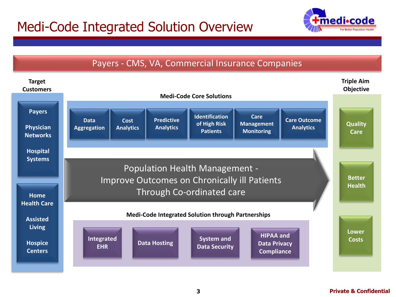### Medi-Code Integrated Solution Overview





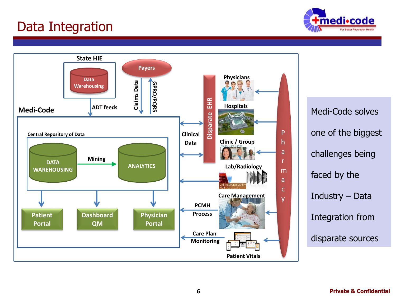### Data Integration



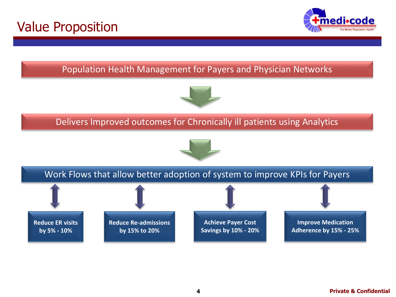



#### Population Health Management for Payers and Physician Networks



#### Delivers Improved outcomes for Chronically ill patients using Analytics





**Reduce ER visits by 5% - 10%**

**Reduce Re-admissions by 15% to 20%**

**Achieve Payer Cost Savings by 10% - 20%**

**Improve Medication Adherence by 15% - 25%**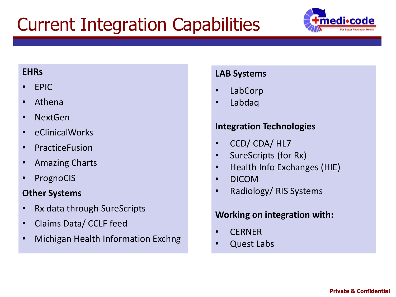# Current Integration Capabilities



#### **EHRs**

- EPIC
- Athena
- NextGen
- eClinicalWorks
- PracticeFusion
- Amazing Charts
- PrognoCIS

#### **Other Systems**

- Rx data through SureScripts
- Claims Data/ CCLF feed
- Michigan Health Information Exchng

#### **LAB Systems**

- LabCorp
- Labdaq

#### **Integration Technologies**

- CCD/ CDA/ HL7
- SureScripts (for Rx)
- Health Info Exchanges (HIE)
- DICOM
- Radiology/ RIS Systems

#### **Working on integration with:**

- CERNER
- Quest Labs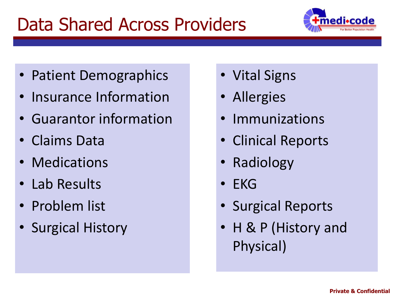# Data Shared Across Providers



- Patient Demographics
- Insurance Information
- Guarantor information
- Claims Data
- **Medications**
- Lab Results
- Problem list
- Surgical History
- Vital Signs
- Allergies
- Immunizations
- Clinical Reports
- Radiology
- EKG
- Surgical Reports
- H & P (History and Physical)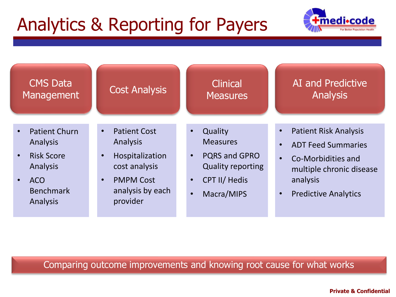# Analytics & Reporting for Payers



| <b>CMS Data</b>                                                                                                                                 | <b>Cost Analysis</b>                                                                                                                                           | <b>Clinical</b>                                                                                                                                                          | AI and Predictive                                                                                                                                                   |
|-------------------------------------------------------------------------------------------------------------------------------------------------|----------------------------------------------------------------------------------------------------------------------------------------------------------------|--------------------------------------------------------------------------------------------------------------------------------------------------------------------------|---------------------------------------------------------------------------------------------------------------------------------------------------------------------|
| Management                                                                                                                                      |                                                                                                                                                                | <b>Measures</b>                                                                                                                                                          | <b>Analysis</b>                                                                                                                                                     |
| <b>Patient Churn</b><br>$\bullet$<br>Analysis<br><b>Risk Score</b><br>$\bullet$<br>Analysis<br>ACO<br>$\bullet$<br><b>Benchmark</b><br>Analysis | <b>Patient Cost</b><br>$\bullet$<br>Analysis<br>Hospitalization<br>$\bullet$<br>cost analysis<br><b>PMPM Cost</b><br>$\bullet$<br>analysis by each<br>provider | Quality<br>$\bullet$<br><b>Measures</b><br><b>PQRS and GPRO</b><br>$\bullet$<br><b>Quality reporting</b><br><b>CPT II/ Hedis</b><br>$\bullet$<br>Macra/MIPS<br>$\bullet$ | <b>Patient Risk Analysis</b><br><b>ADT Feed Summaries</b><br>Co-Morbidities and<br>$\bullet$<br>multiple chronic disease<br>analysis<br><b>Predictive Analytics</b> |

Comparing outcome improvements and knowing root cause for what works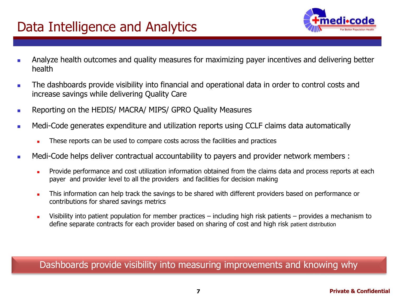### Data Intelligence and Analytics



- Analyze health outcomes and quality measures for maximizing payer incentives and delivering better health
- The dashboards provide visibility into financial and operational data in order to control costs and increase savings while delivering Quality Care
- Reporting on the HEDIS/ MACRA/ MIPS/ GPRO Quality Measures
- **■** Medi-Code generates expenditure and utilization reports using CCLF claims data automatically
	- These reports can be used to compare costs across the facilities and practices
- Medi-Code helps deliver contractual accountability to payers and provider network members :
	- <sup>◼</sup> Provide performance and cost utilization information obtained from the claims data and process reports at each payer and provider level to all the providers and facilities for decision making
	- This information can help track the savings to be shared with different providers based on performance or contributions for shared savings metrics
	- Visibility into patient population for member practices including high risk patients provides a mechanism to define separate contracts for each provider based on sharing of cost and high risk patient distribution

Dashboards provide visibility into measuring improvements and knowing why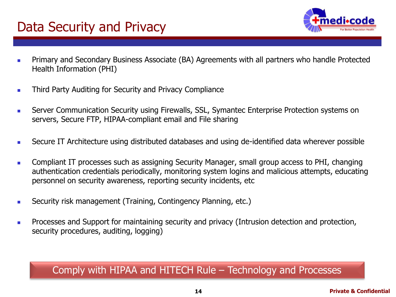### Data Security and Privacy



- <sup>◼</sup> Primary and Secondary Business Associate (BA) Agreements with all partners who handle Protected Health Information (PHI)
- **■** Third Party Auditing for Security and Privacy Compliance
- **■** Server Communication Security using Firewalls, SSL, Symantec Enterprise Protection systems on servers, Secure FTP, HIPAA-compliant email and File sharing
- Secure IT Architecture using distributed databases and using de-identified data wherever possible
- Compliant IT processes such as assigning Security Manager, small group access to PHI, changing authentication credentials periodically, monitoring system logins and malicious attempts, educating personnel on security awareness, reporting security incidents, etc
- Security risk management (Training, Contingency Planning, etc.)
- **■** Processes and Support for maintaining security and privacy (Intrusion detection and protection, security procedures, auditing, logging)

#### Comply with HIPAA and HITECH Rule – Technology and Processes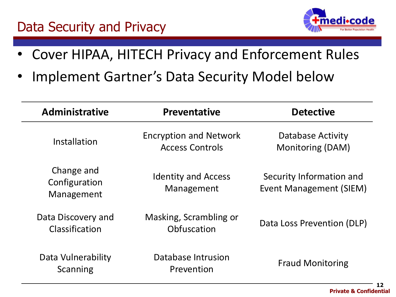### Data Security and Privacy



- Cover HIPAA, HITECH Privacy and Enforcement Rules
- Implement Gartner's Data Security Model below

| <b>Administrative</b>                     | <b>Preventative</b>                                     | <b>Detective</b>                                    |
|-------------------------------------------|---------------------------------------------------------|-----------------------------------------------------|
| Installation                              | <b>Encryption and Network</b><br><b>Access Controls</b> | Database Activity<br>Monitoring (DAM)               |
| Change and<br>Configuration<br>Management | <b>Identity and Access</b><br>Management                | Security Information and<br>Event Management (SIEM) |
| Data Discovery and<br>Classification      | Masking, Scrambling or<br>Obfuscation                   | Data Loss Prevention (DLP)                          |
| Data Vulnerability<br>Scanning            | Database Intrusion<br>Prevention                        | <b>Fraud Monitoring</b>                             |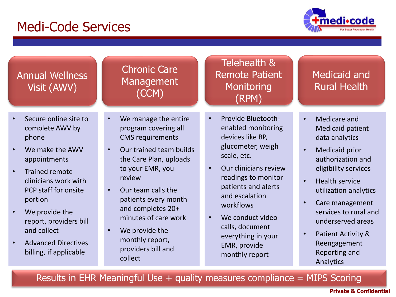### Medi-Code Services



### Annual Wellness Visit (AWV)

- Secure online site to complete AWV by phone
- We make the AWV appointments
- Trained remote clinicians work with PCP staff for onsite portion
- We provide the report, providers bill and collect
- Advanced Directives billing, if applicable

#### Chronic Care Management (CCM)

- We manage the entire program covering all CMS requirements
- Our trained team builds the Care Plan, uploads to your EMR, you review
- Our team calls the patients every month and completes 20+ minutes of care work
- We provide the monthly report, providers bill and collect

#### Telehealth & Remote Patient **Monitoring** (RPM)

- Provide Bluetoothenabled monitoring devices like BP, glucometer, weigh scale, etc.
- Our clinicians review readings to monitor patients and alerts and escalation workflows
- We conduct video calls, document everything in your EMR, provide monthly report

#### Medicaid and Rural Health

- Medicare and Medicaid patient data analytics
- Medicaid prior authorization and eligibility services
- Health service utilization analytics
- Care management services to rural and underserved areas
- Patient Activity & Reengagement Reporting and Analytics

Results in EHR Meaningful Use  $+$  quality measures compliance  $=$  MIPS Scoring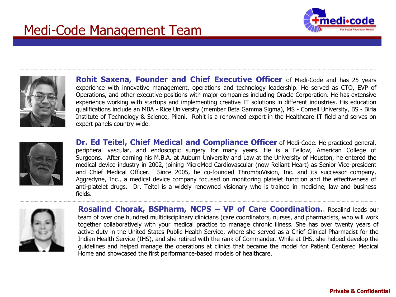



**Rohit Saxena, Founder and Chief Executive Officer** of Medi-Code and has 25 years experience with innovative management, operations and technology leadership. He served as CTO, EVP of Operations, and other executive positions with major companies including Oracle Corporation. He has extensive experience working with startups and implementing creative IT solutions in different industries. His education qualifications include an MBA - Rice University (member Beta Gamma Sigma), MS - Cornell University, BS - Birla Institute of Technology & Science, Pilani. Rohit is a renowned expert in the Healthcare IT field and serves on expert panels country wide.



**Dr. Ed Teitel, Chief Medical and Compliance Officer** of Medi-Code. He practiced general, peripheral vascular, and endoscopic surgery for many years. He is a Fellow, American College of Surgeons. After earning his M.B.A. at Auburn University and Law at the University of Houston, he entered the medical device industry in 2002, joining MicroMed Cardiovascular (now Reliant Heart) as Senior Vice-president and Chief Medical Officer. Since 2005, he co-founded ThromboVision, Inc. and its successor company, Aggredyne, Inc., a medical device company focused on monitoring platelet function and the effectiveness of anti-platelet drugs. Dr. Teitel is a widely renowned visionary who is trained in medicine, law and business fields.



**Rosalind Chorak, BSPharm, NCPS – VP of Care Coordination..** Rosalind leads our team of over one hundred multidisciplinary clinicians (care coordinators, nurses, and pharmacists, who will work together collaboratively with your medical practice to manage chronic illness. She has over twenty years of active duty in the United States Public Health Service, where she served as a Chief Clinical Pharmacist for the Indian Health Service (IHS), and she retired with the rank of Commander. While at IHS, she helped develop the guidelines and helped manage the operations at clinics that became the model for Patient Centered Medical Home and showcased the first performance-based models of healthcare.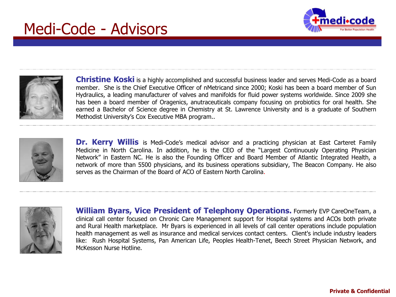## Medi-Code - Advisors





**Christine Koski** is a highly accomplished and successful business leader and serves Medi-Code as a board member. She is the Chief Executive Officer of nMetricand since 2000; Koski has been a board member of Sun Hydraulics, a leading manufacturer of valves and manifolds for fluid power systems worldwide. Since 2009 she has been a board member of Oragenics, anutraceuticals company focusing on probiotics for oral health. She earned a Bachelor of Science degree in Chemistry at St. Lawrence University and is a graduate of Southern Methodist University's Cox Executive MBA program..



**Dr. Kerry Willis** is Medi-Code's medical advisor and a practicing physician at East Carteret Family Medicine in North Carolina. In addition, he is the CEO of the "Largest Continuously Operating Physician Network" in Eastern NC. He is also the Founding Officer and Board Member of Atlantic Integrated Health, a network of more than 5500 physicians, and its business operations subsidiary, The Beacon Company. He also serves as the Chairman of the Board of ACO of Eastern North Carolina.



**William Byars, Vice President of Telephony Operations.** Formerly EVP CareOneTeam, a clinical call center focused on Chronic Care Management support for Hospital systems and ACOs both private and Rural Health marketplace. Mr Byars is experienced in all levels of call center operations include population health management as well as insurance and medical services contact centers. Client's include industry leaders like: Rush Hospital Systems, Pan American Life, Peoples Health-Tenet, Beech Street Physician Network, and McKesson Nurse Hotline.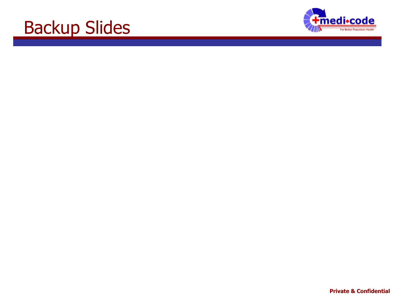# Backup Slides

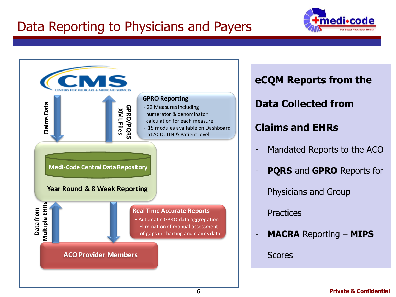### Data Reporting to Physicians and Payers





# **eCQM Reports from the**

### **Data Collected from**

### **Claims and EHRs**

- Mandated Reports to the ACO
- **PQRS** and **GPRO** Reports for

Physicians and Group

**Practices** 

- **MACRA** Reporting – **MIPS**

Scores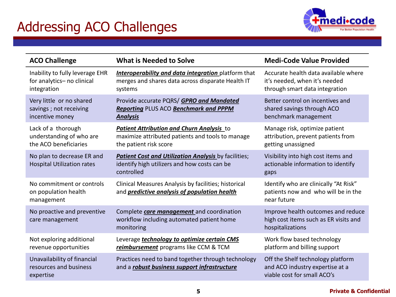## Addressing ACO Challenges



| <b>ACO Challenge</b>                                                         | <b>What is Needed to Solve</b>                                                                                             | <b>Medi-Code Value Provided</b>                                                                         |
|------------------------------------------------------------------------------|----------------------------------------------------------------------------------------------------------------------------|---------------------------------------------------------------------------------------------------------|
| Inability to fully leverage EHR<br>for analytics- no clinical<br>integration | <b>Interoperability and data integration</b> platform that<br>merges and shares data across disparate Health IT<br>systems | Accurate health data available where<br>it's needed, when it's needed<br>through smart data integration |
| Very little or no shared<br>savings; not receiving<br>incentive money        | Provide accurate PQRS/ GPRO and Mandated<br><b>Reporting PLUS ACO Benchmark and PPPM</b><br><b>Analysis</b>                | Better control on incentives and<br>shared savings through ACO<br>benchmark management                  |
| Lack of a thorough<br>understanding of who are<br>the ACO beneficiaries      | Patient Attribution and Churn Analysis to<br>maximize attributed patients and tools to manage<br>the patient risk score    | Manage risk, optimize patient<br>attribution, prevent patients from<br>getting unassigned               |
| No plan to decrease ER and<br><b>Hospital Utilization rates</b>              | <b>Patient Cost and Utilization Analysis by facilities;</b><br>identify high utilizers and how costs can be<br>controlled  | Visibility into high cost items and<br>actionable information to identify<br>gaps                       |
| No commitment or controls<br>on population health<br>management              | Clinical Measures Analysis by facilities; historical<br>and predictive analysis of population health                       | Identify who are clinically "At Risk"<br>patients now and who will be in the<br>near future             |
| No proactive and preventive<br>care management                               | Complete <b>care management</b> and coordination<br>workflow including automated patient home<br>monitoring                | Improve health outcomes and reduce<br>high cost items such as ER visits and<br>hospitalizations         |
| Not exploring additional<br>revenue opportunities                            | Leverage <b>technology to optimize certain CMS</b><br>reimbursement programs like CCM & TCM                                | Work flow based technology<br>platform and billing support                                              |
| Unavailability of financial<br>resources and business<br>expertise           | Practices need to band together through technology<br>and a <i>robust business support infrastructure</i>                  | Off the Shelf technology platform<br>and ACO industry expertise at a<br>viable cost for small ACO's     |